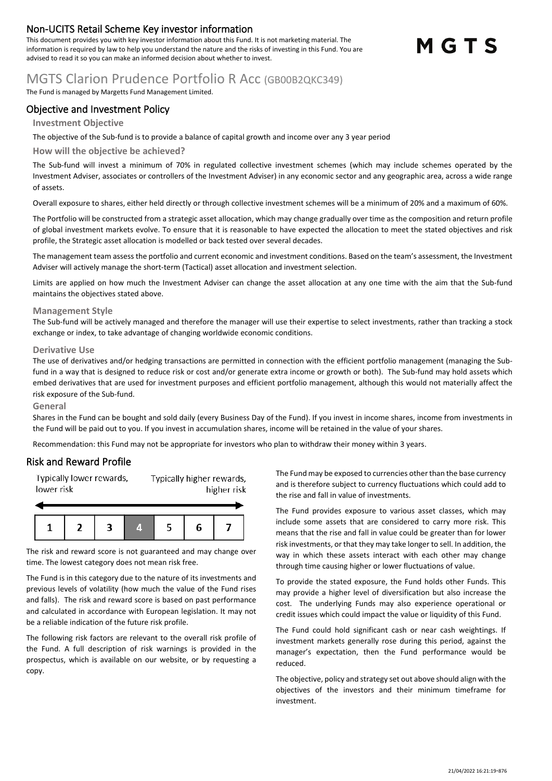## **Non-UCITS Retail Scheme Key investor information**

This document provides you with key investor information about this Fund. It is not marketing material. The information is required by law to help you understand the nature and the risks of investing in this Fund. You are advised to read it so you can make an informed decision about whether to invest.

# MGTS

## MGTS Clarion Prudence Portfolio R Acc (GB00B2QKC349)

The Fund is managed by Margetts Fund Management Limited.

### **Objective and Investment Policy**

#### **Investment Objective**

The objective of the Sub-fund is to provide a balance of capital growth and income over any 3 year period

#### **How will the objective be achieved?**

The Sub-fund will invest a minimum of 70% in regulated collective investment schemes (which may include schemes operated by the Investment Adviser, associates or controllers of the Investment Adviser) in any economic sector and any geographic area, across a wide range of assets.

Overall exposure to shares, either held directly or through collective investment schemes will be a minimum of 20% and a maximum of 60%.

The Portfolio will be constructed from a strategic asset allocation, which may change gradually over time as the composition and return profile of global investment markets evolve. To ensure that it is reasonable to have expected the allocation to meet the stated objectives and risk profile, the Strategic asset allocation is modelled or back tested over several decades.

The management team assessthe portfolio and current economic and investment conditions. Based on the team's assessment, the Investment Adviser will actively manage the short-term (Tactical) asset allocation and investment selection.

Limits are applied on how much the Investment Adviser can change the asset allocation at any one time with the aim that the Sub-fund maintains the objectives stated above.

#### **Management Style**

The Sub-fund will be actively managed and therefore the manager will use their expertise to select investments, rather than tracking a stock exchange or index, to take advantage of changing worldwide economic conditions.

#### **Derivative Use**

The use of derivatives and/or hedging transactions are permitted in connection with the efficient portfolio management (managing the Subfund in a way that is designed to reduce risk or cost and/or generate extra income or growth or both). The Sub-fund may hold assets which embed derivatives that are used for investment purposes and efficient portfolio management, although this would not materially affect the risk exposure of the Sub-fund.

#### **General**

Shares in the Fund can be bought and sold daily (every Business Day of the Fund). If you invest in income shares, income from investments in the Fund will be paid out to you. If you invest in accumulation shares, income will be retained in the value of your shares.

Recommendation: this Fund may not be appropriate for investors who plan to withdraw their money within 3 years.

#### **Risk and Reward Profile**

Typically lower rewards, Typically higher rewards, lower risk higher risk



The risk and reward score is not guaranteed and may change over time. The lowest category does not mean risk free.

The Fund is in this category due to the nature of its investments and previous levels of volatility (how much the value of the Fund rises and falls). The risk and reward score is based on past performance and calculated in accordance with European legislation. It may not be a reliable indication of the future risk profile.

The following risk factors are relevant to the overall risk profile of the Fund. A full description of risk warnings is provided in the prospectus, which is available on our website, or by requesting a copy.

The Fund may be exposed to currencies other than the base currency and is therefore subject to currency fluctuations which could add to the rise and fall in value of investments.

The Fund provides exposure to various asset classes, which may include some assets that are considered to carry more risk. This means that the rise and fall in value could be greater than for lower risk investments, or that they may take longer to sell. In addition, the way in which these assets interact with each other may change through time causing higher or lower fluctuations of value.

To provide the stated exposure, the Fund holds other Funds. This may provide a higher level of diversification but also increase the cost. The underlying Funds may also experience operational or credit issues which could impact the value or liquidity of this Fund.

The Fund could hold significant cash or near cash weightings. If investment markets generally rose during this period, against the manager's expectation, then the Fund performance would be reduced.

The objective, policy and strategy set out above should align with the objectives of the investors and their minimum timeframe for investment.